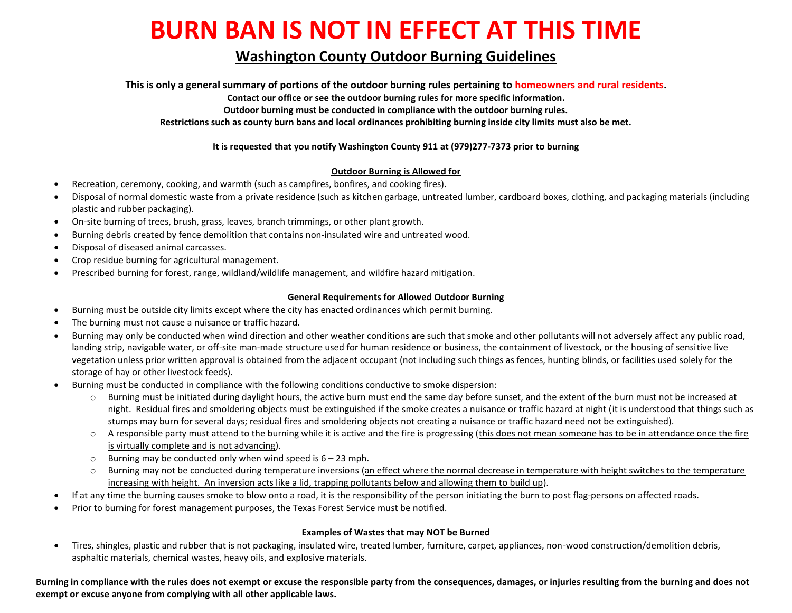# **BURN BAN IS NOT IN EFFECT AT THIS TIME**

# **Washington County Outdoor Burning Guidelines**

**This is only a general summary of portions of the outdoor burning rules pertaining to homeowners and rural residents.**

**Contact our office or see the outdoor burning rules for more specific information.**

**Outdoor burning must be conducted in compliance with the outdoor burning rules.**

**Restrictions such as county burn bans and local ordinances prohibiting burning inside city limits must also be met.**

### **It is requested that you notify Washington County 911 at (979)277-7373 prior to burning**

#### **Outdoor Burning is Allowed for**

- Recreation, ceremony, cooking, and warmth (such as campfires, bonfires, and cooking fires).
- Disposal of normal domestic waste from a private residence (such as kitchen garbage, untreated lumber, cardboard boxes, clothing, and packaging materials (including plastic and rubber packaging).
- On-site burning of trees, brush, grass, leaves, branch trimmings, or other plant growth.
- Burning debris created by fence demolition that contains non-insulated wire and untreated wood.
- Disposal of diseased animal carcasses.
- Crop residue burning for agricultural management.
- Prescribed burning for forest, range, wildland/wildlife management, and wildfire hazard mitigation.

#### **General Requirements for Allowed Outdoor Burning**

- Burning must be outside city limits except where the city has enacted ordinances which permit burning.
- The burning must not cause a nuisance or traffic hazard.
- Burning may only be conducted when wind direction and other weather conditions are such that smoke and other pollutants will not adversely affect any public road, landing strip, navigable water, or off-site man-made structure used for human residence or business, the containment of livestock, or the housing of sensitive live vegetation unless prior written approval is obtained from the adjacent occupant (not including such things as fences, hunting blinds, or facilities used solely for the storage of hay or other livestock feeds).
- Burning must be conducted in compliance with the following conditions conductive to smoke dispersion:
	- o Burning must be initiated during daylight hours, the active burn must end the same day before sunset, and the extent of the burn must not be increased at night. Residual fires and smoldering objects must be extinguished if the smoke creates a nuisance or traffic hazard at night (it is understood that things such as stumps may burn for several days; residual fires and smoldering objects not creating a nuisance or traffic hazard need not be extinguished).
	- o A responsible party must attend to the burning while it is active and the fire is progressing (this does not mean someone has to be in attendance once the fire is virtually complete and is not advancing).
	- $\circ$  Burning may be conducted only when wind speed is  $6 23$  mph.
	- o Burning may not be conducted during temperature inversions (an effect where the normal decrease in temperature with height switches to the temperature increasing with height. An inversion acts like a lid, trapping pollutants below and allowing them to build up).
- If at any time the burning causes smoke to blow onto a road, it is the responsibility of the person initiating the burn to post flag-persons on affected roads.
- Prior to burning for forest management purposes, the Texas Forest Service must be notified.

# **Examples of Wastes that may NOT be Burned**

 Tires, shingles, plastic and rubber that is not packaging, insulated wire, treated lumber, furniture, carpet, appliances, non-wood construction/demolition debris, asphaltic materials, chemical wastes, heavy oils, and explosive materials.

**Burning in compliance with the rules does not exempt or excuse the responsible party from the consequences, damages, or injuries resulting from the burning and does not exempt or excuse anyone from complying with all other applicable laws.**